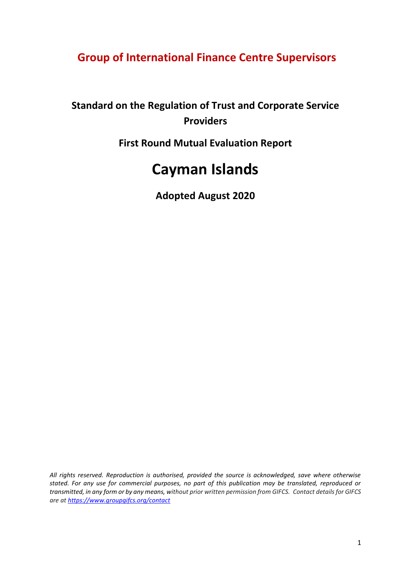# **Group of International Finance Centre Supervisors**

# **Standard on the Regulation of Trust and Corporate Service Providers**

**First Round Mutual Evaluation Report**

# **Cayman Islands**

**Adopted August 2020**

*All rights reserved. Reproduction is authorised, provided the source is acknowledged, save where otherwise stated. For any use for commercial purposes, no part of this publication may be translated, reproduced or transmitted, in any form or by any means, without prior written permission from GIFCS. Contact details for GIFCS are a[t https://www.groupgifcs.org/contact](https://www.groupgifcs.org/contact)*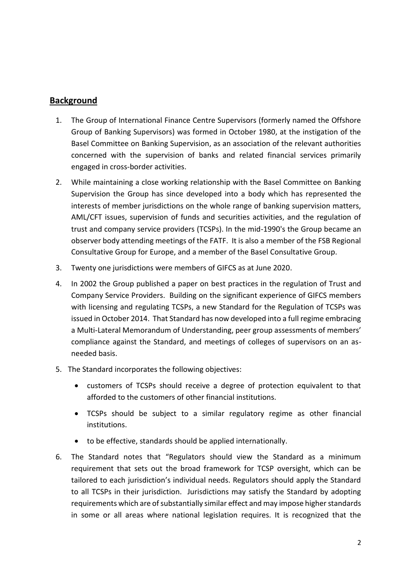### **Background**

- 1. The Group of International Finance Centre Supervisors (formerly named the Offshore Group of Banking Supervisors) was formed in October 1980, at the instigation of the Basel Committee on Banking Supervision, as an association of the relevant authorities concerned with the supervision of banks and related financial services primarily engaged in cross-border activities.
- 2. While maintaining a close working relationship with the Basel Committee on Banking Supervision the Group has since developed into a body which has represented the interests of member jurisdictions on the whole range of banking supervision matters, AML/CFT issues, supervision of funds and securities activities, and the regulation of trust and company service providers (TCSPs). In the mid-1990's the Group became an observer body attending meetings of the FATF. It is also a member of the FSB Regional Consultative Group for Europe, and a member of the Basel Consultative Group.
- 3. Twenty one jurisdictions were members of GIFCS as at June 2020.
- 4. In 2002 the Group published a paper on best practices in the regulation of Trust and Company Service Providers. Building on the significant experience of GIFCS members with licensing and regulating TCSPs, a new Standard for the Regulation of TCSPs was issued in October 2014. That Standard has now developed into a full regime embracing a Multi-Lateral Memorandum of Understanding, peer group assessments of members' compliance against the Standard, and meetings of colleges of supervisors on an asneeded basis.
- 5. The Standard incorporates the following objectives:
	- customers of TCSPs should receive a degree of protection equivalent to that afforded to the customers of other financial institutions.
	- TCSPs should be subject to a similar regulatory regime as other financial institutions.
	- to be effective, standards should be applied internationally.
- 6. The Standard notes that "Regulators should view the Standard as a minimum requirement that sets out the broad framework for TCSP oversight, which can be tailored to each jurisdiction's individual needs. Regulators should apply the Standard to all TCSPs in their jurisdiction. Jurisdictions may satisfy the Standard by adopting requirements which are of substantially similar effect and may impose higher standards in some or all areas where national legislation requires. It is recognized that the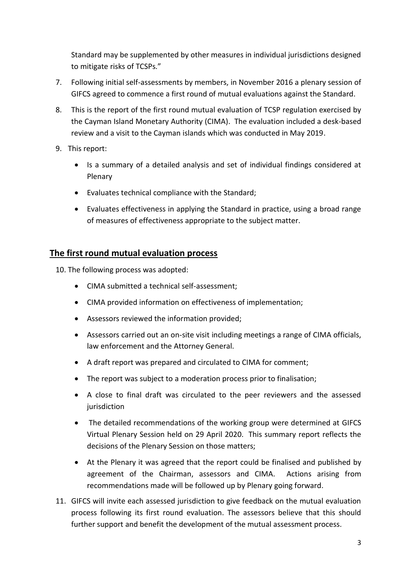Standard may be supplemented by other measures in individual jurisdictions designed to mitigate risks of TCSPs."

- 7. Following initial self-assessments by members, in November 2016 a plenary session of GIFCS agreed to commence a first round of mutual evaluations against the Standard.
- 8. This is the report of the first round mutual evaluation of TCSP regulation exercised by the Cayman Island Monetary Authority (CIMA). The evaluation included a desk-based review and a visit to the Cayman islands which was conducted in May 2019.
- 9. This report:
	- Is a summary of a detailed analysis and set of individual findings considered at Plenary
	- Evaluates technical compliance with the Standard;
	- Evaluates effectiveness in applying the Standard in practice, using a broad range of measures of effectiveness appropriate to the subject matter.

### **The first round mutual evaluation process**

10. The following process was adopted:

- CIMA submitted a technical self-assessment;
- CIMA provided information on effectiveness of implementation;
- Assessors reviewed the information provided;
- Assessors carried out an on-site visit including meetings a range of CIMA officials, law enforcement and the Attorney General.
- A draft report was prepared and circulated to CIMA for comment;
- The report was subject to a moderation process prior to finalisation;
- A close to final draft was circulated to the peer reviewers and the assessed jurisdiction
- The detailed recommendations of the working group were determined at GIFCS Virtual Plenary Session held on 29 April 2020. This summary report reflects the decisions of the Plenary Session on those matters;
- At the Plenary it was agreed that the report could be finalised and published by agreement of the Chairman, assessors and CIMA. Actions arising from recommendations made will be followed up by Plenary going forward.
- 11. GIFCS will invite each assessed jurisdiction to give feedback on the mutual evaluation process following its first round evaluation. The assessors believe that this should further support and benefit the development of the mutual assessment process.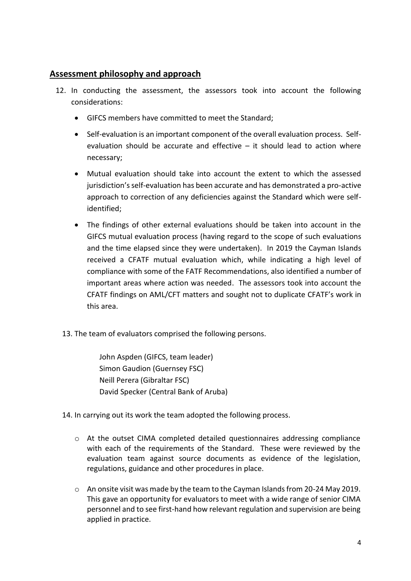### **Assessment philosophy and approach**

- 12. In conducting the assessment, the assessors took into account the following considerations:
	- GIFCS members have committed to meet the Standard;
	- Self-evaluation is an important component of the overall evaluation process. Selfevaluation should be accurate and effective – it should lead to action where necessary;
	- Mutual evaluation should take into account the extent to which the assessed jurisdiction'sself-evaluation has been accurate and has demonstrated a pro-active approach to correction of any deficiencies against the Standard which were selfidentified;
	- The findings of other external evaluations should be taken into account in the GIFCS mutual evaluation process (having regard to the scope of such evaluations and the time elapsed since they were undertaken). In 2019 the Cayman Islands received a CFATF mutual evaluation which, while indicating a high level of compliance with some of the FATF Recommendations, also identified a number of important areas where action was needed. The assessors took into account the CFATF findings on AML/CFT matters and sought not to duplicate CFATF's work in this area.
	- 13. The team of evaluators comprised the following persons.

John Aspden (GIFCS, team leader) Simon Gaudion (Guernsey FSC) Neill Perera (Gibraltar FSC) David Specker (Central Bank of Aruba)

- 14. In carrying out its work the team adopted the following process.
	- o At the outset CIMA completed detailed questionnaires addressing compliance with each of the requirements of the Standard. These were reviewed by the evaluation team against source documents as evidence of the legislation, regulations, guidance and other procedures in place.
	- o An onsite visit was made by the team to the Cayman Islands from 20-24 May 2019. This gave an opportunity for evaluators to meet with a wide range of senior CIMA personnel and to see first-hand how relevant regulation and supervision are being applied in practice.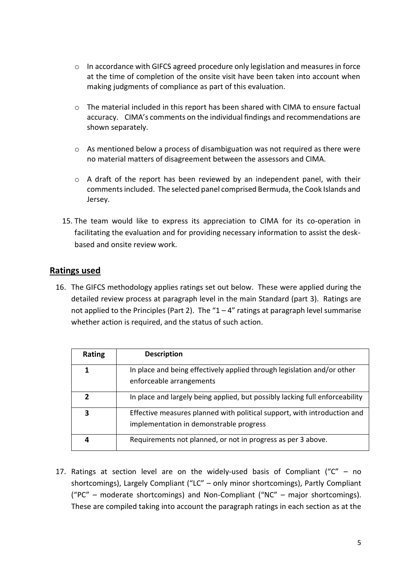- $\circ$  In accordance with GIFCS agreed procedure only legislation and measures in force at the time of completion of the onsite visit have been taken into account when making judgments of compliance as part of this evaluation.
- o The material included in this report has been shared with CIMA to ensure factual accuracy. CIMA's comments on the individual findings and recommendations are shown separately.
- $\circ$  As mentioned below a process of disambiguation was not required as there were no material matters of disagreement between the assessors and CIMA.
- $\circ$  A draft of the report has been reviewed by an independent panel, with their comments included. The selected panel comprised Bermuda, the Cook Islands and Jersey.
- 15. The team would like to express its appreciation to CIMA for its co-operation in facilitating the evaluation and for providing necessary information to assist the deskbased and onsite review work.

### **Ratings used**

16. The GIFCS methodology applies ratings set out below. These were applied during the detailed review process at paragraph level in the main Standard (part 3). Ratings are not applied to the Principles (Part 2). The " $1 - 4$ " ratings at paragraph level summarise whether action is required, and the status of such action.

| Rating | <b>Description</b>                                                                                                  |
|--------|---------------------------------------------------------------------------------------------------------------------|
| 1      | In place and being effectively applied through legislation and/or other<br>enforceable arrangements                 |
|        | In place and largely being applied, but possibly lacking full enforceability                                        |
| 3      | Effective measures planned with political support, with introduction and<br>implementation in demonstrable progress |
| 4      | Requirements not planned, or not in progress as per 3 above.                                                        |

17. Ratings at section level are on the widely-used basis of Compliant (" $C$ " – no shortcomings), Largely Compliant ("LC" – only minor shortcomings), Partly Compliant ("PC" – moderate shortcomings) and Non-Compliant ("NC" – major shortcomings). These are compiled taking into account the paragraph ratings in each section as at the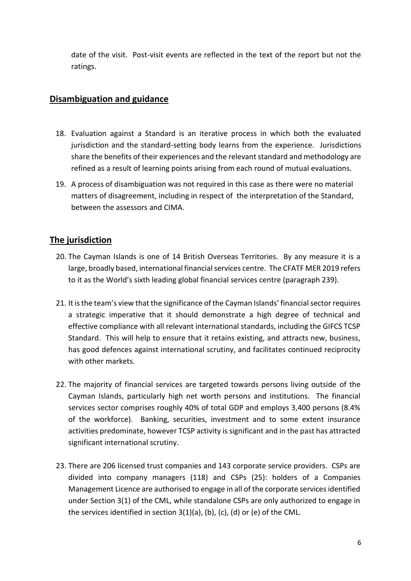date of the visit. Post-visit events are reflected in the text of the report but not the ratings.

### **Disambiguation and guidance**

- 18. Evaluation against a Standard is an iterative process in which both the evaluated jurisdiction and the standard-setting body learns from the experience. Jurisdictions share the benefits of their experiences and the relevant standard and methodology are refined as a result of learning points arising from each round of mutual evaluations.
- 19. A process of disambiguation was not required in this case as there were no material matters of disagreement, including in respect of the interpretation of the Standard, between the assessors and CIMA.

### **The jurisdiction**

- 20. The Cayman Islands is one of 14 British Overseas Territories. By any measure it is a large, broadly based, international financial services centre. The CFATF MER 2019 refers to it as the World's sixth leading global financial services centre (paragraph 239).
- 21. It is the team's view that the significance of the Cayman Islands' financial sector requires a strategic imperative that it should demonstrate a high degree of technical and effective compliance with all relevant international standards, including the GIFCS TCSP Standard. This will help to ensure that it retains existing, and attracts new, business, has good defences against international scrutiny, and facilitates continued reciprocity with other markets.
- 22. The majority of financial services are targeted towards persons living outside of the Cayman Islands, particularly high net worth persons and institutions. The financial services sector comprises roughly 40% of total GDP and employs 3,400 persons (8.4% of the workforce). Banking, securities, investment and to some extent insurance activities predominate, however TCSP activity is significant and in the past has attracted significant international scrutiny.
- 23. There are 206 licensed trust companies and 143 corporate service providers. CSPs are divided into company managers (118) and CSPs (25): holders of a Companies Management Licence are authorised to engage in all of the corporate services identified under Section 3(1) of the CML, while standalone CSPs are only authorized to engage in the services identified in section 3(1)(a), (b), (c), (d) or (e) of the CML.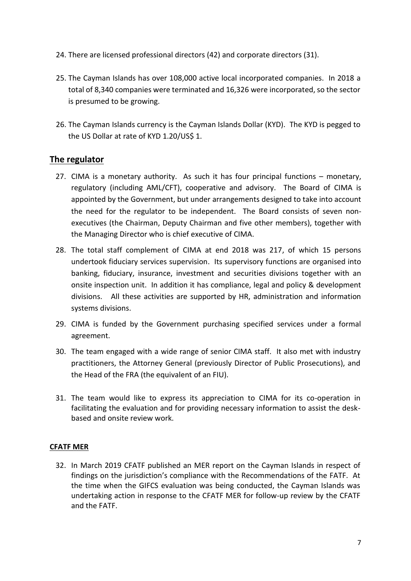- 24. There are licensed professional directors (42) and corporate directors (31).
- 25. The Cayman Islands has over 108,000 active local incorporated companies. In 2018 a total of 8,340 companies were terminated and 16,326 were incorporated, so the sector is presumed to be growing.
- 26. The Cayman Islands currency is the Cayman Islands Dollar (KYD). The KYD is pegged to the US Dollar at rate of KYD 1.20/US\$ 1.

### **The regulator**

- 27. CIMA is a monetary authority. As such it has four principal functions monetary, regulatory (including AML/CFT), cooperative and advisory. The Board of CIMA is appointed by the Government, but under arrangements designed to take into account the need for the regulator to be independent. The Board consists of seven nonexecutives (the Chairman, Deputy Chairman and five other members), together with the Managing Director who is chief executive of CIMA.
- 28. The total staff complement of CIMA at end 2018 was 217, of which 15 persons undertook fiduciary services supervision. Its supervisory functions are organised into banking, fiduciary, insurance, investment and securities divisions together with an onsite inspection unit. In addition it has compliance, legal and policy & development divisions. All these activities are supported by HR, administration and information systems divisions.
- 29. CIMA is funded by the Government purchasing specified services under a formal agreement.
- 30. The team engaged with a wide range of senior CIMA staff. It also met with industry practitioners, the Attorney General (previously Director of Public Prosecutions), and the Head of the FRA (the equivalent of an FIU).
- 31. The team would like to express its appreciation to CIMA for its co-operation in facilitating the evaluation and for providing necessary information to assist the deskbased and onsite review work.

### **CFATF MER**

32. In March 2019 CFATF published an MER report on the Cayman Islands in respect of findings on the jurisdiction's compliance with the Recommendations of the FATF. At the time when the GIFCS evaluation was being conducted, the Cayman Islands was undertaking action in response to the CFATF MER for follow-up review by the CFATF and the FATF.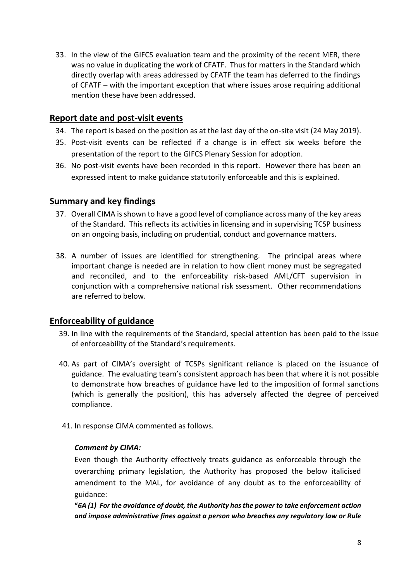33. In the view of the GIFCS evaluation team and the proximity of the recent MER, there was no value in duplicating the work of CFATF. Thus for matters in the Standard which directly overlap with areas addressed by CFATF the team has deferred to the findings of CFATF – with the important exception that where issues arose requiring additional mention these have been addressed.

### **Report date and post-visit events**

- 34. The report is based on the position as at the last day of the on-site visit (24 May 2019).
- 35. Post-visit events can be reflected if a change is in effect six weeks before the presentation of the report to the GIFCS Plenary Session for adoption.
- 36. No post-visit events have been recorded in this report. However there has been an expressed intent to make guidance statutorily enforceable and this is explained.

### **Summary and key findings**

- 37. Overall CIMA is shown to have a good level of compliance across many of the key areas of the Standard. This reflects its activities in licensing and in supervising TCSP business on an ongoing basis, including on prudential, conduct and governance matters.
- 38. A number of issues are identified for strengthening. The principal areas where important change is needed are in relation to how client money must be segregated and reconciled, and to the enforceability risk-based AML/CFT supervision in conjunction with a comprehensive national risk ssessment. Other recommendations are referred to below.

### **Enforceability of guidance**

- 39. In line with the requirements of the Standard, special attention has been paid to the issue of enforceability of the Standard's requirements.
- 40. As part of CIMA's oversight of TCSPs significant reliance is placed on the issuance of guidance. The evaluating team's consistent approach has been that where it is not possible to demonstrate how breaches of guidance have led to the imposition of formal sanctions (which is generally the position), this has adversely affected the degree of perceived compliance.
- 41. In response CIMA commented as follows.

#### *Comment by CIMA:*

Even though the Authority effectively treats guidance as enforceable through the overarching primary legislation, the Authority has proposed the below italicised amendment to the MAL, for avoidance of any doubt as to the enforceability of guidance:

**"***6A (1) For the avoidance of doubt, the Authority has the power to take enforcement action and impose administrative fines against a person who breaches any regulatory law or Rule*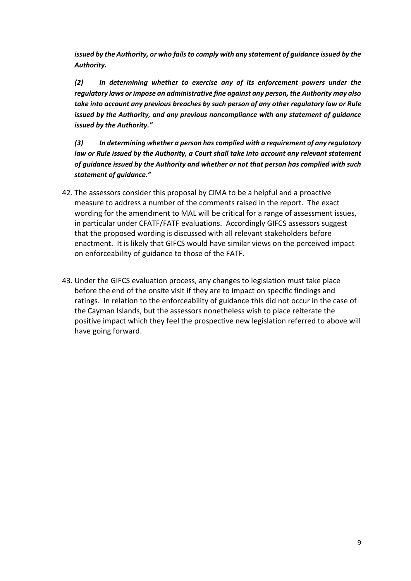*issued by the Authority, or who fails to comply with any statement of guidance issued by the Authority.*

*(2) In determining whether to exercise any of its enforcement powers under the regulatory laws or impose an administrative fine against any person, the Authority may also take into account any previous breaches by such person of any other regulatory law or Rule issued by the Authority, and any previous noncompliance with any statement of guidance issued by the Authority."*

*(3) In determining whether a person has complied with a requirement of any regulatory*  law or Rule issued by the Authority, a Court shall take into account any relevant statement *of guidance issued by the Authority and whether or not that person has complied with such statement of guidance."*

- 42. The assessors consider this proposal by CIMA to be a helpful and a proactive measure to address a number of the comments raised in the report. The exact wording for the amendment to MAL will be critical for a range of assessment issues, in particular under CFATF/FATF evaluations. Accordingly GIFCS assessors suggest that the proposed wording is discussed with all relevant stakeholders before enactment. It is likely that GIFCS would have similar views on the perceived impact on enforceability of guidance to those of the FATF.
- 43. Under the GIFCS evaluation process, any changes to legislation must take place before the end of the onsite visit if they are to impact on specific findings and ratings. In relation to the enforceability of guidance this did not occur in the case of the Cayman Islands, but the assessors nonetheless wish to place reiterate the positive impact which they feel the prospective new legislation referred to above will have going forward.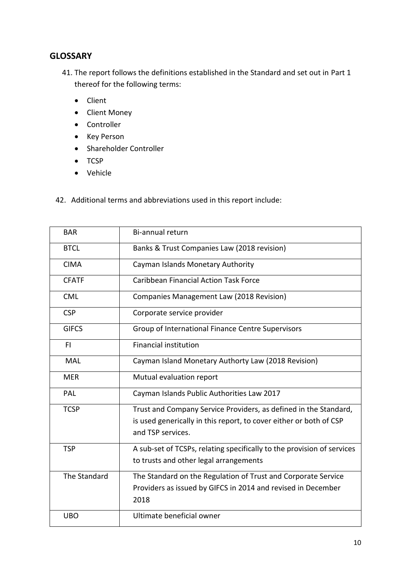### **GLOSSARY**

- 41. The report follows the definitions established in the Standard and set out in Part 1 thereof for the following terms:
	- Client
	- Client Money
	- Controller
	- Key Person
	- Shareholder Controller
	- TCSP
	- Vehicle
- 42. Additional terms and abbreviations used in this report include:

| <b>BAR</b>   | Bi-annual return                                                       |
|--------------|------------------------------------------------------------------------|
| <b>BTCL</b>  | Banks & Trust Companies Law (2018 revision)                            |
| <b>CIMA</b>  | Cayman Islands Monetary Authority                                      |
| <b>CFATF</b> | <b>Caribbean Financial Action Task Force</b>                           |
| <b>CML</b>   | Companies Management Law (2018 Revision)                               |
| <b>CSP</b>   | Corporate service provider                                             |
| <b>GIFCS</b> | Group of International Finance Centre Supervisors                      |
| FI.          | <b>Financial institution</b>                                           |
| <b>MAL</b>   | Cayman Island Monetary Authorty Law (2018 Revision)                    |
| <b>MER</b>   | Mutual evaluation report                                               |
| PAL          | Cayman Islands Public Authorities Law 2017                             |
| <b>TCSP</b>  | Trust and Company Service Providers, as defined in the Standard,       |
|              | is used generically in this report, to cover either or both of CSP     |
|              | and TSP services.                                                      |
| <b>TSP</b>   | A sub-set of TCSPs, relating specifically to the provision of services |
|              | to trusts and other legal arrangements                                 |
| The Standard | The Standard on the Regulation of Trust and Corporate Service          |
|              | Providers as issued by GIFCS in 2014 and revised in December           |
|              | 2018                                                                   |
| <b>UBO</b>   | Ultimate beneficial owner                                              |
|              |                                                                        |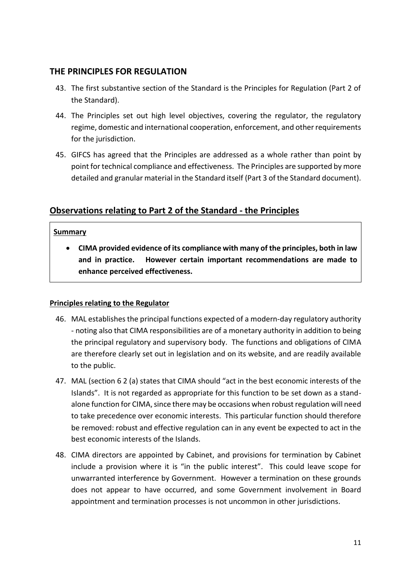### **THE PRINCIPLES FOR REGULATION**

- 43. The first substantive section of the Standard is the Principles for Regulation (Part 2 of the Standard).
- 44. The Principles set out high level objectives, covering the regulator, the regulatory regime, domestic and international cooperation, enforcement, and other requirements for the jurisdiction.
- 45. GIFCS has agreed that the Principles are addressed as a whole rather than point by point for technical compliance and effectiveness. The Principles are supported by more detailed and granular material in the Standard itself (Part 3 of the Standard document).

### **Observations relating to Part 2 of the Standard - the Principles**

#### **Summary**

• **CIMA provided evidence of its compliance with many of the principles, both in law and in practice. However certain important recommendations are made to enhance perceived effectiveness.**

#### **Principles relating to the Regulator**

- 46. MAL establishes the principal functions expected of a modern-day regulatory authority - noting also that CIMA responsibilities are of a monetary authority in addition to being the principal regulatory and supervisory body. The functions and obligations of CIMA are therefore clearly set out in legislation and on its website, and are readily available to the public.
- 47. MAL (section 6 2 (a) states that CIMA should "act in the best economic interests of the Islands". It is not regarded as appropriate for this function to be set down as a standalone function for CIMA, since there may be occasions when robust regulation will need to take precedence over economic interests. This particular function should therefore be removed: robust and effective regulation can in any event be expected to act in the best economic interests of the Islands.
- 48. CIMA directors are appointed by Cabinet, and provisions for termination by Cabinet include a provision where it is "in the public interest". This could leave scope for unwarranted interference by Government. However a termination on these grounds does not appear to have occurred, and some Government involvement in Board appointment and termination processes is not uncommon in other jurisdictions.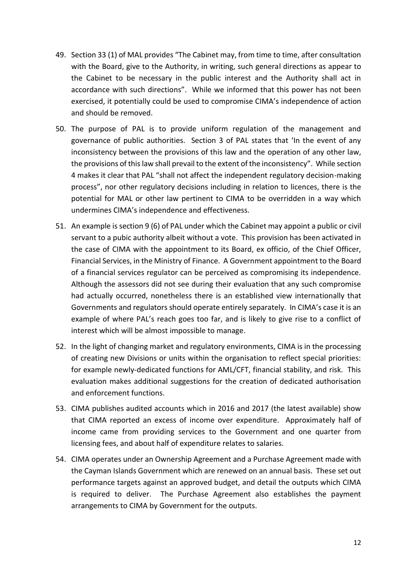- 49. Section 33 (1) of MAL provides "The Cabinet may, from time to time, after consultation with the Board, give to the Authority, in writing, such general directions as appear to the Cabinet to be necessary in the public interest and the Authority shall act in accordance with such directions". While we informed that this power has not been exercised, it potentially could be used to compromise CIMA's independence of action and should be removed.
- 50. The purpose of PAL is to provide uniform regulation of the management and governance of public authorities. Section 3 of PAL states that 'In the event of any inconsistency between the provisions of this law and the operation of any other law, the provisions of this law shall prevail to the extent of the inconsistency". While section 4 makes it clear that PAL "shall not affect the independent regulatory decision-making process", nor other regulatory decisions including in relation to licences, there is the potential for MAL or other law pertinent to CIMA to be overridden in a way which undermines CIMA's independence and effectiveness.
- 51. An example is section 9 (6) of PAL under which the Cabinet may appoint a public or civil servant to a pubic authority albeit without a vote. This provision has been activated in the case of CIMA with the appointment to its Board, ex officio, of the Chief Officer, Financial Services, in the Ministry of Finance. A Government appointment to the Board of a financial services regulator can be perceived as compromising its independence. Although the assessors did not see during their evaluation that any such compromise had actually occurred, nonetheless there is an established view internationally that Governments and regulators should operate entirely separately. In CIMA's case it is an example of where PAL's reach goes too far, and is likely to give rise to a conflict of interest which will be almost impossible to manage.
- 52. In the light of changing market and regulatory environments, CIMA is in the processing of creating new Divisions or units within the organisation to reflect special priorities: for example newly-dedicated functions for AML/CFT, financial stability, and risk. This evaluation makes additional suggestions for the creation of dedicated authorisation and enforcement functions.
- 53. CIMA publishes audited accounts which in 2016 and 2017 (the latest available) show that CIMA reported an excess of income over expenditure. Approximately half of income came from providing services to the Government and one quarter from licensing fees, and about half of expenditure relates to salaries.
- 54. CIMA operates under an Ownership Agreement and a Purchase Agreement made with the Cayman Islands Government which are renewed on an annual basis. These set out performance targets against an approved budget, and detail the outputs which CIMA is required to deliver. The Purchase Agreement also establishes the payment arrangements to CIMA by Government for the outputs.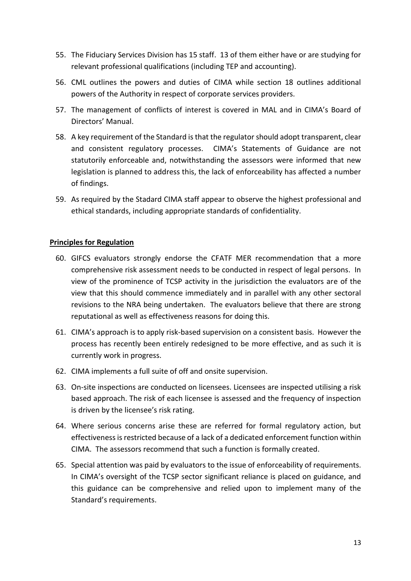- 55. The Fiduciary Services Division has 15 staff. 13 of them either have or are studying for relevant professional qualifications (including TEP and accounting).
- 56. CML outlines the powers and duties of CIMA while section 18 outlines additional powers of the Authority in respect of corporate services providers.
- 57. The management of conflicts of interest is covered in MAL and in CIMA's Board of Directors' Manual.
- 58. A key requirement of the Standard is that the regulator should adopt transparent, clear and consistent regulatory processes. CIMA's Statements of Guidance are not statutorily enforceable and, notwithstanding the assessors were informed that new legislation is planned to address this, the lack of enforceability has affected a number of findings.
- 59. As required by the Stadard CIMA staff appear to observe the highest professional and ethical standards, including appropriate standards of confidentiality.

#### **Principles for Regulation**

- 60. GIFCS evaluators strongly endorse the CFATF MER recommendation that a more comprehensive risk assessment needs to be conducted in respect of legal persons. In view of the prominence of TCSP activity in the jurisdiction the evaluators are of the view that this should commence immediately and in parallel with any other sectoral revisions to the NRA being undertaken. The evaluators believe that there are strong reputational as well as effectiveness reasons for doing this.
- 61. CIMA's approach is to apply risk-based supervision on a consistent basis. However the process has recently been entirely redesigned to be more effective, and as such it is currently work in progress.
- 62. CIMA implements a full suite of off and onsite supervision.
- 63. On-site inspections are conducted on licensees. Licensees are inspected utilising a risk based approach. The risk of each licensee is assessed and the frequency of inspection is driven by the licensee's risk rating.
- 64. Where serious concerns arise these are referred for formal regulatory action, but effectiveness is restricted because of a lack of a dedicated enforcement function within CIMA. The assessors recommend that such a function is formally created.
- 65. Special attention was paid by evaluators to the issue of enforceability of requirements. In CIMA's oversight of the TCSP sector significant reliance is placed on guidance, and this guidance can be comprehensive and relied upon to implement many of the Standard's requirements.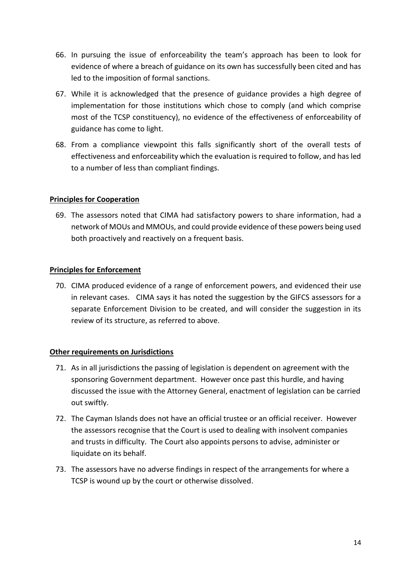- 66. In pursuing the issue of enforceability the team's approach has been to look for evidence of where a breach of guidance on its own has successfully been cited and has led to the imposition of formal sanctions.
- 67. While it is acknowledged that the presence of guidance provides a high degree of implementation for those institutions which chose to comply (and which comprise most of the TCSP constituency), no evidence of the effectiveness of enforceability of guidance has come to light.
- 68. From a compliance viewpoint this falls significantly short of the overall tests of effectiveness and enforceability which the evaluation is required to follow, and has led to a number of less than compliant findings.

#### **Principles for Cooperation**

69. The assessors noted that CIMA had satisfactory powers to share information, had a network of MOUs and MMOUs, and could provide evidence of these powers being used both proactively and reactively on a frequent basis.

#### **Principles for Enforcement**

70. CIMA produced evidence of a range of enforcement powers, and evidenced their use in relevant cases. CIMA says it has noted the suggestion by the GIFCS assessors for a separate Enforcement Division to be created, and will consider the suggestion in its review of its structure, as referred to above.

#### **Other requirements on Jurisdictions**

- 71. As in all jurisdictions the passing of legislation is dependent on agreement with the sponsoring Government department. However once past this hurdle, and having discussed the issue with the Attorney General, enactment of legislation can be carried out swiftly.
- 72. The Cayman Islands does not have an official trustee or an official receiver. However the assessors recognise that the Court is used to dealing with insolvent companies and trusts in difficulty. The Court also appoints persons to advise, administer or liquidate on its behalf.
- 73. The assessors have no adverse findings in respect of the arrangements for where a TCSP is wound up by the court or otherwise dissolved.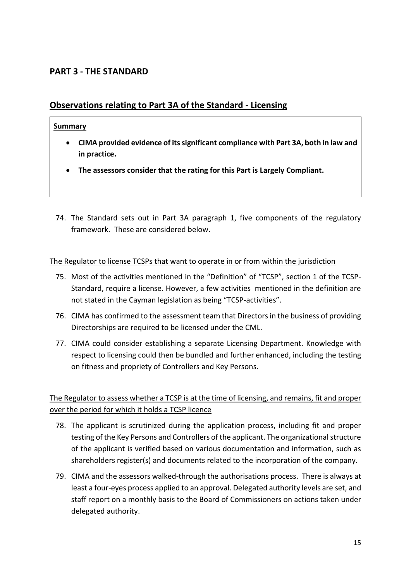### **PART 3 - THE STANDARD**

### **Observations relating to Part 3A of the Standard - Licensing**

#### **Summary**

- **CIMA provided evidence of itssignificant compliance with Part 3A, both in law and in practice.**
- **The assessors consider that the rating for this Part is Largely Compliant.**
- 74. The Standard sets out in Part 3A paragraph 1, five components of the regulatory framework. These are considered below.

#### The Regulator to license TCSPs that want to operate in or from within the jurisdiction

- 75. Most of the activities mentioned in the "Definition" of "TCSP", section 1 of the TCSP-Standard, require a license. However, a few activities mentioned in the definition are not stated in the Cayman legislation as being "TCSP-activities".
- 76. CIMA has confirmed to the assessment team that Directors in the business of providing Directorships are required to be licensed under the CML.
- 77. CIMA could consider establishing a separate Licensing Department. Knowledge with respect to licensing could then be bundled and further enhanced, including the testing on fitness and propriety of Controllers and Key Persons.

### The Regulator to assess whether a TCSP is at the time of licensing, and remains, fit and proper over the period for which it holds a TCSP licence

- 78. The applicant is scrutinized during the application process, including fit and proper testing of the Key Persons and Controllers of the applicant. The organizational structure of the applicant is verified based on various documentation and information, such as shareholders register(s) and documents related to the incorporation of the company.
- 79. CIMA and the assessors walked-through the authorisations process. There is always at least a four-eyes process applied to an approval. Delegated authority levels are set, and staff report on a monthly basis to the Board of Commissioners on actions taken under delegated authority.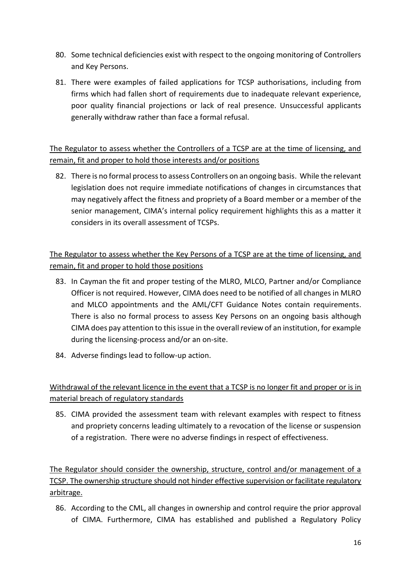- 80. Some technical deficiencies exist with respect to the ongoing monitoring of Controllers and Key Persons.
- 81. There were examples of failed applications for TCSP authorisations, including from firms which had fallen short of requirements due to inadequate relevant experience, poor quality financial projections or lack of real presence. Unsuccessful applicants generally withdraw rather than face a formal refusal.

The Regulator to assess whether the Controllers of a TCSP are at the time of licensing, and remain, fit and proper to hold those interests and/or positions

82. There is no formal process to assess Controllers on an ongoing basis. While the relevant legislation does not require immediate notifications of changes in circumstances that may negatively affect the fitness and propriety of a Board member or a member of the senior management, CIMA's internal policy requirement highlights this as a matter it considers in its overall assessment of TCSPs.

The Regulator to assess whether the Key Persons of a TCSP are at the time of licensing, and remain, fit and proper to hold those positions

- 83. In Cayman the fit and proper testing of the MLRO, MLCO, Partner and/or Compliance Officer is not required. However, CIMA does need to be notified of all changes in MLRO and MLCO appointments and the AML/CFT Guidance Notes contain requirements. There is also no formal process to assess Key Persons on an ongoing basis although CIMA does pay attention to this issue in the overall review of an institution, for example during the licensing-process and/or an on-site.
- 84. Adverse findings lead to follow-up action.

### Withdrawal of the relevant licence in the event that a TCSP is no longer fit and proper or is in material breach of regulatory standards

85. CIMA provided the assessment team with relevant examples with respect to fitness and propriety concerns leading ultimately to a revocation of the license or suspension of a registration. There were no adverse findings in respect of effectiveness.

The Regulator should consider the ownership, structure, control and/or management of a TCSP. The ownership structure should not hinder effective supervision or facilitate regulatory arbitrage.

86. According to the CML, all changes in ownership and control require the prior approval of CIMA. Furthermore, CIMA has established and published a Regulatory Policy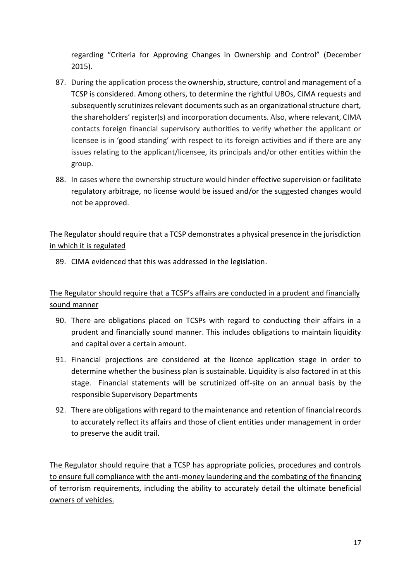regarding "Criteria for Approving Changes in Ownership and Control" (December 2015).

- 87. During the application process the ownership, structure, control and management of a TCSP is considered. Among others, to determine the rightful UBOs, CIMA requests and subsequently scrutinizes relevant documents such as an organizational structure chart, the shareholders' register(s) and incorporation documents. Also, where relevant, CIMA contacts foreign financial supervisory authorities to verify whether the applicant or licensee is in 'good standing' with respect to its foreign activities and if there are any issues relating to the applicant/licensee, its principals and/or other entities within the group.
- 88. In cases where the ownership structure would hinder effective supervision or facilitate regulatory arbitrage, no license would be issued and/or the suggested changes would not be approved.

### The Regulator should require that a TCSP demonstrates a physical presence in the jurisdiction in which it is regulated

89. CIMA evidenced that this was addressed in the legislation.

### The Regulator should require that a TCSP's affairs are conducted in a prudent and financially sound manner

- 90. There are obligations placed on TCSPs with regard to conducting their affairs in a prudent and financially sound manner. This includes obligations to maintain liquidity and capital over a certain amount.
- 91. Financial projections are considered at the licence application stage in order to determine whether the business plan is sustainable. Liquidity is also factored in at this stage. Financial statements will be scrutinized off-site on an annual basis by the responsible Supervisory Departments
- 92. There are obligations with regard to the maintenance and retention of financial records to accurately reflect its affairs and those of client entities under management in order to preserve the audit trail.

The Regulator should require that a TCSP has appropriate policies, procedures and controls to ensure full compliance with the anti-money laundering and the combating of the financing of terrorism requirements, including the ability to accurately detail the ultimate beneficial owners of vehicles.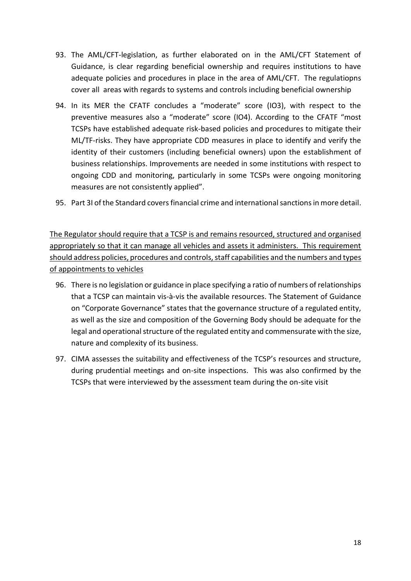- 93. The AML/CFT-legislation, as further elaborated on in the AML/CFT Statement of Guidance, is clear regarding beneficial ownership and requires institutions to have adequate policies and procedures in place in the area of AML/CFT. The regulatiopns cover all areas with regards to systems and controls including beneficial ownership
- 94. In its MER the CFATF concludes a "moderate" score (IO3), with respect to the preventive measures also a "moderate" score (IO4). According to the CFATF "most TCSPs have established adequate risk-based policies and procedures to mitigate their ML/TF-risks. They have appropriate CDD measures in place to identify and verify the identity of their customers (including beneficial owners) upon the establishment of business relationships. Improvements are needed in some institutions with respect to ongoing CDD and monitoring, particularly in some TCSPs were ongoing monitoring measures are not consistently applied".
- 95. Part 3I of the Standard covers financial crime and international sanctions in more detail.

The Regulator should require that a TCSP is and remains resourced, structured and organised appropriately so that it can manage all vehicles and assets it administers. This requirement should address policies, procedures and controls, staff capabilities and the numbers and types of appointments to vehicles

- 96. There is no legislation or guidance in place specifying a ratio of numbers of relationships that a TCSP can maintain vis-à-vis the available resources. The Statement of Guidance on "Corporate Governance" states that the governance structure of a regulated entity, as well as the size and composition of the Governing Body should be adequate for the legal and operational structure of the regulated entity and commensurate with the size, nature and complexity of its business.
- 97. CIMA assesses the suitability and effectiveness of the TCSP's resources and structure, during prudential meetings and on-site inspections. This was also confirmed by the TCSPs that were interviewed by the assessment team during the on-site visit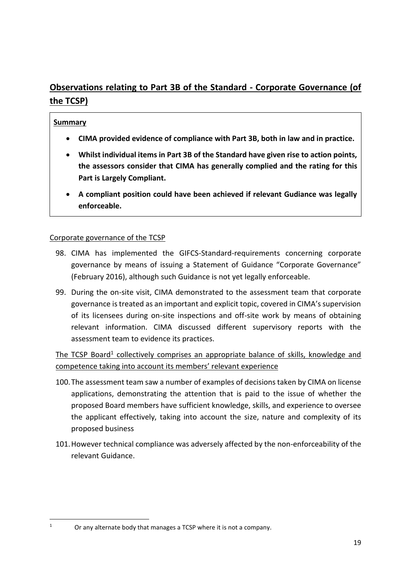# **Observations relating to Part 3B of the Standard - Corporate Governance (of the TCSP)**

### **Summary**

- **CIMA provided evidence of compliance with Part 3B, both in law and in practice.**
- **Whilst individual items in Part 3B of the Standard have given rise to action points, the assessors consider that CIMA has generally complied and the rating for this Part is Largely Compliant.**
- **A compliant position could have been achieved if relevant Gudiance was legally enforceable.**

#### Corporate governance of the TCSP

- 98. CIMA has implemented the GIFCS-Standard-requirements concerning corporate governance by means of issuing a Statement of Guidance "Corporate Governance" (February 2016), although such Guidance is not yet legally enforceable.
- 99. During the on-site visit, CIMA demonstrated to the assessment team that corporate governance is treated as an important and explicit topic, covered in CIMA's supervision of its licensees during on-site inspections and off-site work by means of obtaining relevant information. CIMA discussed different supervisory reports with the assessment team to evidence its practices.

The TCSP Board<sup>1</sup> collectively comprises an appropriate balance of skills, knowledge and competence taking into account its members' relevant experience

- 100.The assessment team saw a number of examples of decisions taken by CIMA on license applications, demonstrating the attention that is paid to the issue of whether the proposed Board members have sufficient knowledge, skills, and experience to oversee the applicant effectively, taking into account the size, nature and complexity of its proposed business
- 101.However technical compliance was adversely affected by the non-enforceability of the relevant Guidance.

 $1$  Or any alternate body that manages a TCSP where it is not a company.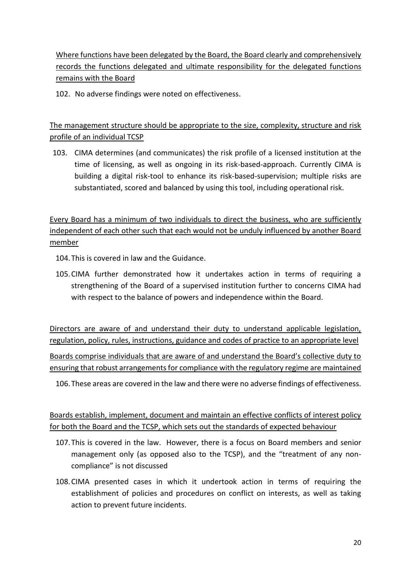Where functions have been delegated by the Board, the Board clearly and comprehensively records the functions delegated and ultimate responsibility for the delegated functions remains with the Board

102. No adverse findings were noted on effectiveness.

The management structure should be appropriate to the size, complexity, structure and risk profile of an individual TCSP

103. CIMA determines (and communicates) the risk profile of a licensed institution at the time of licensing, as well as ongoing in its risk-based-approach. Currently CIMA is building a digital risk-tool to enhance its risk-based-supervision; multiple risks are substantiated, scored and balanced by using this tool, including operational risk.

Every Board has a minimum of two individuals to direct the business, who are sufficiently independent of each other such that each would not be unduly influenced by another Board member

- 104.This is covered in law and the Guidance.
- 105.CIMA further demonstrated how it undertakes action in terms of requiring a strengthening of the Board of a supervised institution further to concerns CIMA had with respect to the balance of powers and independence within the Board.

Directors are aware of and understand their duty to understand applicable legislation, regulation, policy, rules, instructions, guidance and codes of practice to an appropriate level Boards comprise individuals that are aware of and understand the Board's collective duty to ensuring that robust arrangements for compliance with the regulatory regime are maintained

106.These areas are covered in the law and there were no adverse findings of effectiveness.

Boards establish, implement, document and maintain an effective conflicts of interest policy for both the Board and the TCSP, which sets out the standards of expected behaviour

- 107.This is covered in the law. However, there is a focus on Board members and senior management only (as opposed also to the TCSP), and the "treatment of any noncompliance" is not discussed
- 108.CIMA presented cases in which it undertook action in terms of requiring the establishment of policies and procedures on conflict on interests, as well as taking action to prevent future incidents.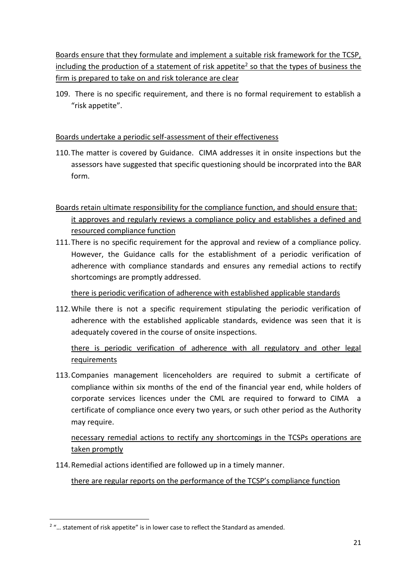Boards ensure that they formulate and implement a suitable risk framework for the TCSP, including the production of a statement of risk appetite<sup>2</sup> so that the types of business the firm is prepared to take on and risk tolerance are clear

109. There is no specific requirement, and there is no formal requirement to establish a "risk appetite".

#### Boards undertake a periodic self-assessment of their effectiveness

110.The matter is covered by Guidance. CIMA addresses it in onsite inspections but the assessors have suggested that specific questioning should be incorprated into the BAR form.

Boards retain ultimate responsibility for the compliance function, and should ensure that: it approves and regularly reviews a compliance policy and establishes a defined and resourced compliance function

111.There is no specific requirement for the approval and review of a compliance policy. However, the Guidance calls for the establishment of a periodic verification of adherence with compliance standards and ensures any remedial actions to rectify shortcomings are promptly addressed.

there is periodic verification of adherence with established applicable standards

112.While there is not a specific requirement stipulating the periodic verification of adherence with the established applicable standards, evidence was seen that it is adequately covered in the course of onsite inspections.

there is periodic verification of adherence with all regulatory and other legal requirements

113.Companies management licenceholders are required to submit a certificate of compliance within six months of the end of the financial year end, while holders of corporate services licences under the CML are required to forward to CIMA a certificate of compliance once every two years, or such other period as the Authority may require.

necessary remedial actions to rectify any shortcomings in the TCSPs operations are taken promptly

114.Remedial actions identified are followed up in a timely manner.

there are regular reports on the performance of the TCSP's compliance function

 $2<sup>2</sup>$  ... statement of risk appetite" is in lower case to reflect the Standard as amended.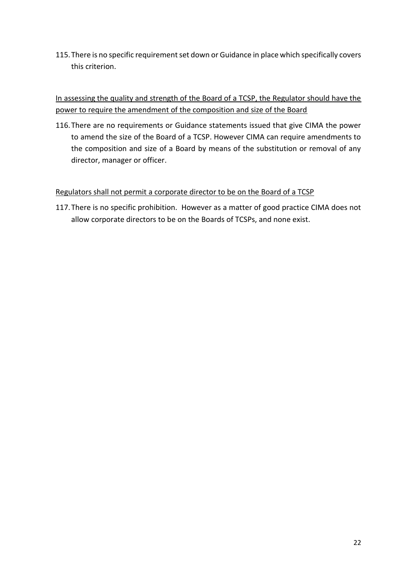115.There is no specific requirement set down or Guidance in place which specifically covers this criterion.

### In assessing the quality and strength of the Board of a TCSP, the Regulator should have the power to require the amendment of the composition and size of the Board

116.There are no requirements or Guidance statements issued that give CIMA the power to amend the size of the Board of a TCSP. However CIMA can require amendments to the composition and size of a Board by means of the substitution or removal of any director, manager or officer.

#### Regulators shall not permit a corporate director to be on the Board of a TCSP

117.There is no specific prohibition. However as a matter of good practice CIMA does not allow corporate directors to be on the Boards of TCSPs, and none exist.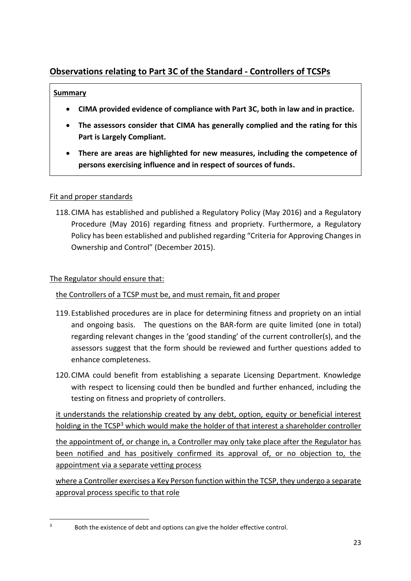## **Observations relating to Part 3C of the Standard - Controllers of TCSPs**

### **Summary**

- **CIMA provided evidence of compliance with Part 3C, both in law and in practice.**
- **The assessors consider that CIMA has generally complied and the rating for this Part is Largely Compliant.**
- **There are areas are highlighted for new measures, including the competence of persons exercising influence and in respect of sources of funds.**

### Fit and proper standards

118.CIMA has established and published a Regulatory Policy (May 2016) and a Regulatory Procedure (May 2016) regarding fitness and propriety. Furthermore, a Regulatory Policy has been established and published regarding "Criteria for Approving Changes in Ownership and Control" (December 2015).

### The Regulator should ensure that:

### the Controllers of a TCSP must be, and must remain, fit and proper

- 119.Established procedures are in place for determining fitness and propriety on an intial and ongoing basis. The questions on the BAR-form are quite limited (one in total) regarding relevant changes in the 'good standing' of the current controller(s), and the assessors suggest that the form should be reviewed and further questions added to enhance completeness.
- 120.CIMA could benefit from establishing a separate Licensing Department. Knowledge with respect to licensing could then be bundled and further enhanced, including the testing on fitness and propriety of controllers.

it understands the relationship created by any debt, option, equity or beneficial interest holding in the TCSP<sup>3</sup> which would make the holder of that interest a shareholder controller

the appointment of, or change in, a Controller may only take place after the Regulator has been notified and has positively confirmed its approval of, or no objection to, the appointment via a separate vetting process

where a Controller exercises a Key Person function within the TCSP, they undergo a separate approval process specific to that role

<sup>&</sup>lt;sup>3</sup> Both the existence of debt and options can give the holder effective control.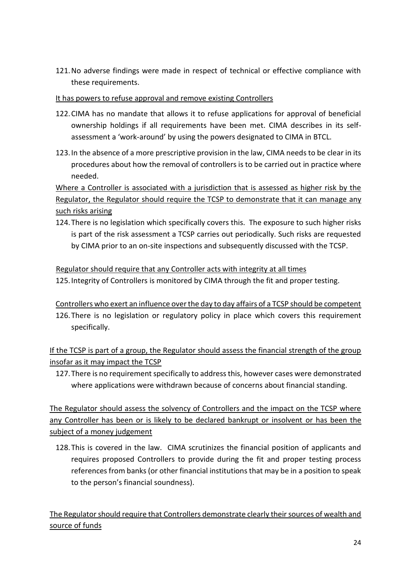121.No adverse findings were made in respect of technical or effective compliance with these requirements.

#### It has powers to refuse approval and remove existing Controllers

- 122.CIMA has no mandate that allows it to refuse applications for approval of beneficial ownership holdings if all requirements have been met. CIMA describes in its selfassessment a 'work-around' by using the powers designated to CIMA in BTCL.
- 123.In the absence of a more prescriptive provision in the law, CIMA needs to be clear in its procedures about how the removal of controllers is to be carried out in practice where needed.

Where a Controller is associated with a jurisdiction that is assessed as higher risk by the Regulator, the Regulator should require the TCSP to demonstrate that it can manage any such risks arising

124.There is no legislation which specifically covers this. The exposure to such higher risks is part of the risk assessment a TCSP carries out periodically. Such risks are requested by CIMA prior to an on-site inspections and subsequently discussed with the TCSP.

Regulator should require that any Controller acts with integrity at all times 125.Integrity of Controllers is monitored by CIMA through the fit and proper testing.

Controllers who exert an influence over the day to day affairs of a TCSP should be competent 126.There is no legislation or regulatory policy in place which covers this requirement specifically.

If the TCSP is part of a group, the Regulator should assess the financial strength of the group insofar as it may impact the TCSP

127.There is no requirement specifically to address this, however cases were demonstrated where applications were withdrawn because of concerns about financial standing.

The Regulator should assess the solvency of Controllers and the impact on the TCSP where any Controller has been or is likely to be declared bankrupt or insolvent or has been the subject of a money judgement

128.This is covered in the law. CIMA scrutinizes the financial position of applicants and requires proposed Controllers to provide during the fit and proper testing process references from banks (or other financial institutions that may be in a position to speak to the person's financial soundness).

The Regulator should require that Controllers demonstrate clearly their sources of wealth and source of funds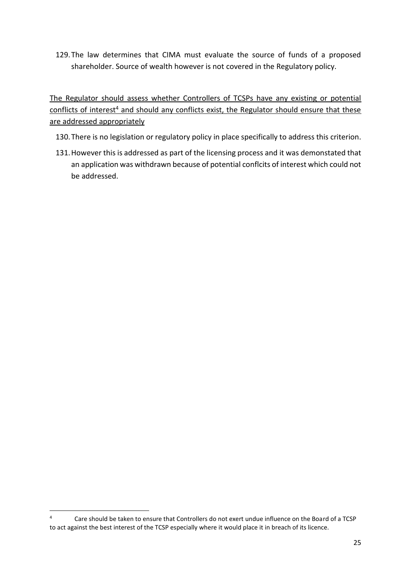129.The law determines that CIMA must evaluate the source of funds of a proposed shareholder. Source of wealth however is not covered in the Regulatory policy.

The Regulator should assess whether Controllers of TCSPs have any existing or potential conflicts of interest<sup>4</sup> and should any conflicts exist, the Regulator should ensure that these are addressed appropriately

- 130.There is no legislation or regulatory policy in place specifically to address this criterion.
- 131.However this is addressed as part of the licensing process and it was demonstated that an application was withdrawn because of potential conflcits of interest which could not be addressed.

<sup>4</sup> Care should be taken to ensure that Controllers do not exert undue influence on the Board of a TCSP to act against the best interest of the TCSP especially where it would place it in breach of its licence.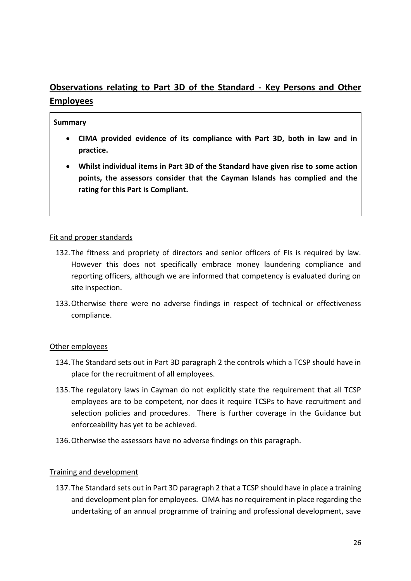# **Observations relating to Part 3D of the Standard - Key Persons and Other Employees**

#### **Summary**

- **CIMA provided evidence of its compliance with Part 3D, both in law and in practice.**
- **Whilst individual items in Part 3D of the Standard have given rise to some action points, the assessors consider that the Cayman Islands has complied and the rating for this Part is Compliant.**

#### Fit and proper standards

- 132.The fitness and propriety of directors and senior officers of FIs is required by law. However this does not specifically embrace money laundering compliance and reporting officers, although we are informed that competency is evaluated during on site inspection.
- 133.Otherwise there were no adverse findings in respect of technical or effectiveness compliance.

#### Other employees

- 134.The Standard sets out in Part 3D paragraph 2 the controls which a TCSP should have in place for the recruitment of all employees.
- 135.The regulatory laws in Cayman do not explicitly state the requirement that all TCSP employees are to be competent, nor does it require TCSPs to have recruitment and selection policies and procedures. There is further coverage in the Guidance but enforceability has yet to be achieved.
- 136.Otherwise the assessors have no adverse findings on this paragraph.

#### Training and development

137.The Standard sets out in Part 3D paragraph 2 that a TCSP should have in place a training and development plan for employees. CIMA has no requirement in place regarding the undertaking of an annual programme of training and professional development, save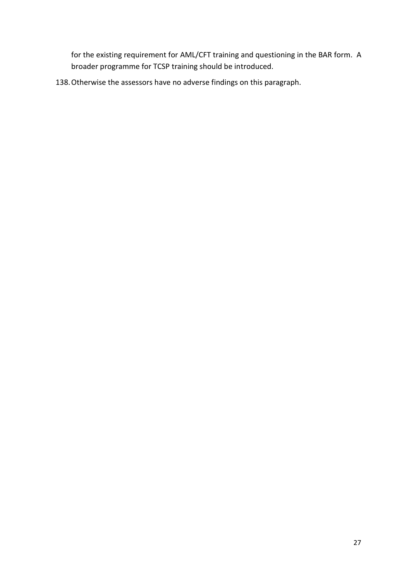for the existing requirement for AML/CFT training and questioning in the BAR form. A broader programme for TCSP training should be introduced.

138.Otherwise the assessors have no adverse findings on this paragraph.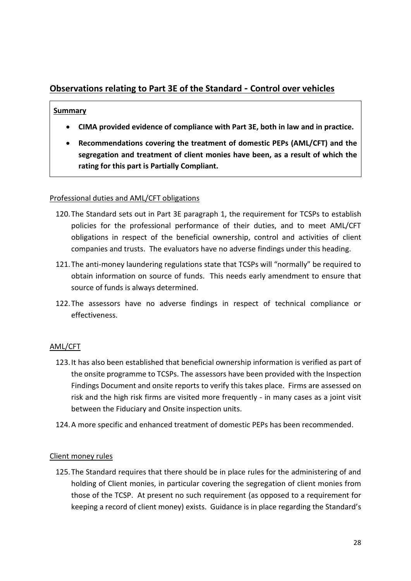### **Observations relating to Part 3E of the Standard - Control over vehicles**

#### **Summary**

- **CIMA provided evidence of compliance with Part 3E, both in law and in practice.**
- **Recommendations covering the treatment of domestic PEPs (AML/CFT) and the segregation and treatment of client monies have been, as a result of which the rating for this part is Partially Compliant.**

#### Professional duties and AML/CFT obligations

- 120.The Standard sets out in Part 3E paragraph 1, the requirement for TCSPs to establish policies for the professional performance of their duties, and to meet AML/CFT obligations in respect of the beneficial ownership, control and activities of client companies and trusts. The evaluators have no adverse findings under this heading.
- 121.The anti-money laundering regulations state that TCSPs will "normally" be required to obtain information on source of funds. This needs early amendment to ensure that source of funds is always determined.
- 122.The assessors have no adverse findings in respect of technical compliance or effectiveness.

#### AML/CFT

- 123.It has also been established that beneficial ownership information is verified as part of the onsite programme to TCSPs. The assessors have been provided with the Inspection Findings Document and onsite reports to verify this takes place. Firms are assessed on risk and the high risk firms are visited more frequently - in many cases as a joint visit between the Fiduciary and Onsite inspection units.
- 124.A more specific and enhanced treatment of domestic PEPs has been recommended.

#### Client money rules

125.The Standard requires that there should be in place rules for the administering of and holding of Client monies, in particular covering the segregation of client monies from those of the TCSP. At present no such requirement (as opposed to a requirement for keeping a record of client money) exists. Guidance is in place regarding the Standard's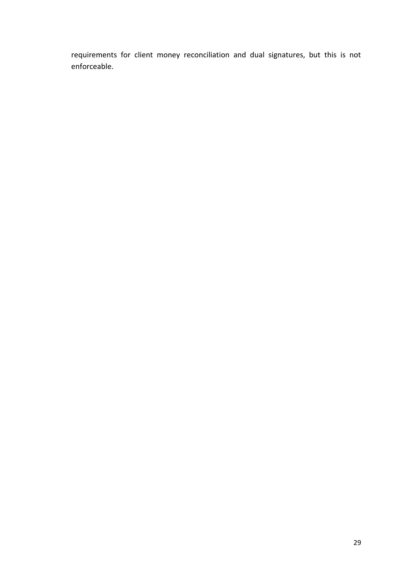requirements for client money reconciliation and dual signatures, but this is not enforceable.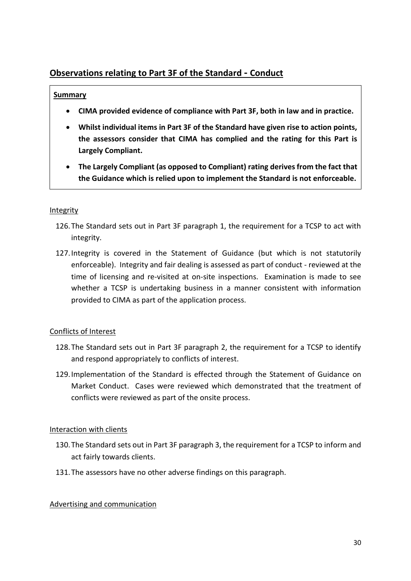### **Observations relating to Part 3F of the Standard - Conduct**

#### **Summary**

- **CIMA provided evidence of compliance with Part 3F, both in law and in practice.**
- **Whilst individual items in Part 3F of the Standard have given rise to action points, the assessors consider that CIMA has complied and the rating for this Part is Largely Compliant.**
- **The Largely Compliant (as opposed to Compliant) rating derives from the fact that the Guidance which is relied upon to implement the Standard is not enforceable.**

#### Integrity

- 126.The Standard sets out in Part 3F paragraph 1, the requirement for a TCSP to act with integrity.
- 127.Integrity is covered in the Statement of Guidance (but which is not statutorily enforceable). Integrity and fair dealing is assessed as part of conduct - reviewed at the time of licensing and re-visited at on-site inspections. Examination is made to see whether a TCSP is undertaking business in a manner consistent with information provided to CIMA as part of the application process.

#### Conflicts of Interest

- 128.The Standard sets out in Part 3F paragraph 2, the requirement for a TCSP to identify and respond appropriately to conflicts of interest.
- 129.Implementation of the Standard is effected through the Statement of Guidance on Market Conduct. Cases were reviewed which demonstrated that the treatment of conflicts were reviewed as part of the onsite process.

#### Interaction with clients

- 130.The Standard sets out in Part 3F paragraph 3, the requirement for a TCSP to inform and act fairly towards clients.
- 131.The assessors have no other adverse findings on this paragraph.

#### Advertising and communication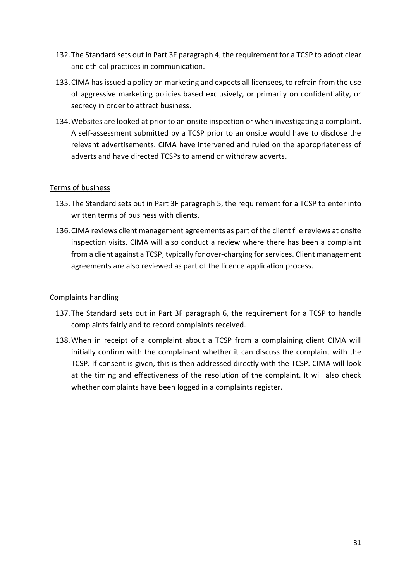- 132.The Standard sets out in Part 3F paragraph 4, the requirement for a TCSP to adopt clear and ethical practices in communication.
- 133.CIMA has issued a policy on marketing and expects all licensees, to refrain from the use of aggressive marketing policies based exclusively, or primarily on confidentiality, or secrecy in order to attract business.
- 134.Websites are looked at prior to an onsite inspection or when investigating a complaint. A self-assessment submitted by a TCSP prior to an onsite would have to disclose the relevant advertisements. CIMA have intervened and ruled on the appropriateness of adverts and have directed TCSPs to amend or withdraw adverts.

#### Terms of business

- 135.The Standard sets out in Part 3F paragraph 5, the requirement for a TCSP to enter into written terms of business with clients.
- 136.CIMA reviews client management agreements as part of the client file reviews at onsite inspection visits. CIMA will also conduct a review where there has been a complaint from a client against a TCSP, typically for over-charging for services. Client management agreements are also reviewed as part of the licence application process.

#### Complaints handling

- 137.The Standard sets out in Part 3F paragraph 6, the requirement for a TCSP to handle complaints fairly and to record complaints received.
- 138.When in receipt of a complaint about a TCSP from a complaining client CIMA will initially confirm with the complainant whether it can discuss the complaint with the TCSP. If consent is given, this is then addressed directly with the TCSP. CIMA will look at the timing and effectiveness of the resolution of the complaint. It will also check whether complaints have been logged in a complaints register.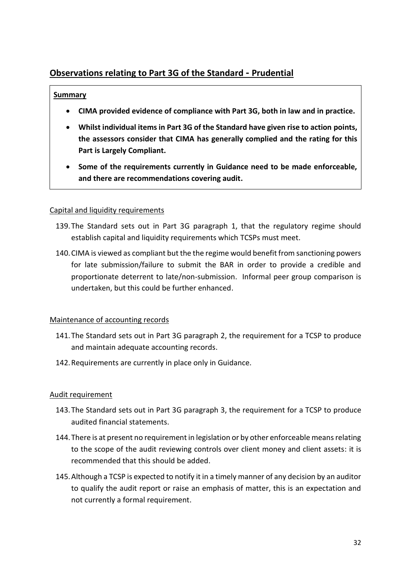### **Observations relating to Part 3G of the Standard - Prudential**

### **Summary**

- **CIMA provided evidence of compliance with Part 3G, both in law and in practice.**
- **Whilst individual items in Part 3G of the Standard have given rise to action points, the assessors consider that CIMA has generally complied and the rating for this Part is Largely Compliant.**
- **Some of the requirements currently in Guidance need to be made enforceable, and there are recommendations covering audit.**

#### Capital and liquidity requirements

- 139.The Standard sets out in Part 3G paragraph 1, that the regulatory regime should establish capital and liquidity requirements which TCSPs must meet.
- 140.CIMA is viewed as compliant but the the regime would benefit from sanctioning powers for late submission/failure to submit the BAR in order to provide a credible and proportionate deterrent to late/non-submission. Informal peer group comparison is undertaken, but this could be further enhanced.

### Maintenance of accounting records

- 141.The Standard sets out in Part 3G paragraph 2, the requirement for a TCSP to produce and maintain adequate accounting records.
- 142.Requirements are currently in place only in Guidance.

### Audit requirement

- 143.The Standard sets out in Part 3G paragraph 3, the requirement for a TCSP to produce audited financial statements.
- 144.There is at present no requirement in legislation or by other enforceable means relating to the scope of the audit reviewing controls over client money and client assets: it is recommended that this should be added.
- 145.Although a TCSP is expected to notify it in a timely manner of any decision by an auditor to qualify the audit report or raise an emphasis of matter, this is an expectation and not currently a formal requirement.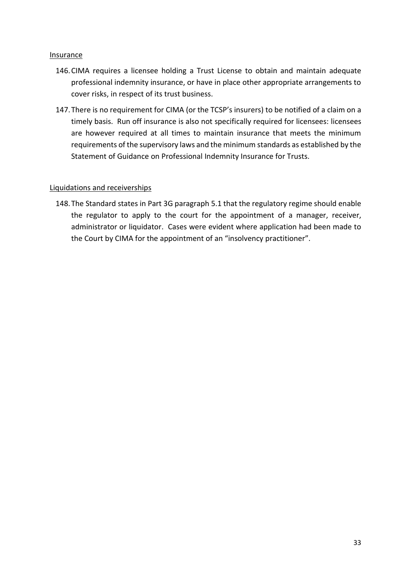#### **Insurance**

- 146.CIMA requires a licensee holding a Trust License to obtain and maintain adequate professional indemnity insurance, or have in place other appropriate arrangements to cover risks, in respect of its trust business.
- 147.There is no requirement for CIMA (or the TCSP's insurers) to be notified of a claim on a timely basis. Run off insurance is also not specifically required for licensees: licensees are however required at all times to maintain insurance that meets the minimum requirements of the supervisory laws and the minimum standards as established by the Statement of Guidance on Professional Indemnity Insurance for Trusts.

#### Liquidations and receiverships

148.The Standard states in Part 3G paragraph 5.1 that the regulatory regime should enable the regulator to apply to the court for the appointment of a manager, receiver, administrator or liquidator. Cases were evident where application had been made to the Court by CIMA for the appointment of an "insolvency practitioner".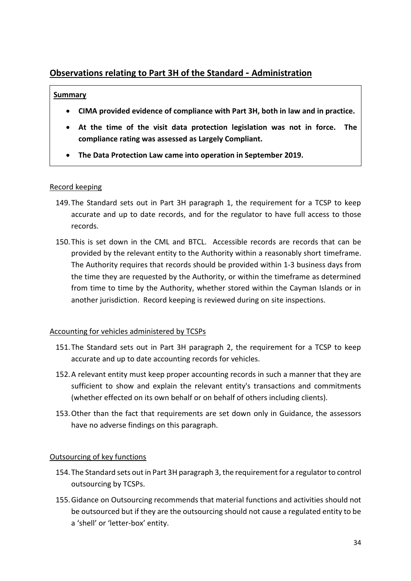### **Observations relating to Part 3H of the Standard - Administration**

#### **Summary**

- **CIMA provided evidence of compliance with Part 3H, both in law and in practice.**
- **At the time of the visit data protection legislation was not in force. The compliance rating was assessed as Largely Compliant.**
- **The Data Protection Law came into operation in September 2019.**

#### Record keeping

- 149.The Standard sets out in Part 3H paragraph 1, the requirement for a TCSP to keep accurate and up to date records, and for the regulator to have full access to those records.
- 150.This is set down in the CML and BTCL. Accessible records are records that can be provided by the relevant entity to the Authority within a reasonably short timeframe. The Authority requires that records should be provided within 1-3 business days from the time they are requested by the Authority, or within the timeframe as determined from time to time by the Authority, whether stored within the Cayman Islands or in another jurisdiction. Record keeping is reviewed during on site inspections.

#### Accounting for vehicles administered by TCSPs

- 151.The Standard sets out in Part 3H paragraph 2, the requirement for a TCSP to keep accurate and up to date accounting records for vehicles.
- 152.A relevant entity must keep proper accounting records in such a manner that they are sufficient to show and explain the relevant entity's transactions and commitments (whether effected on its own behalf or on behalf of others including clients).
- 153.Other than the fact that requirements are set down only in Guidance, the assessors have no adverse findings on this paragraph.

#### Outsourcing of key functions

- 154.The Standard sets out in Part 3H paragraph 3, the requirement for a regulator to control outsourcing by TCSPs.
- 155.Gidance on Outsourcing recommends that material functions and activities should not be outsourced but if they are the outsourcing should not cause a regulated entity to be a 'shell' or 'letter-box' entity.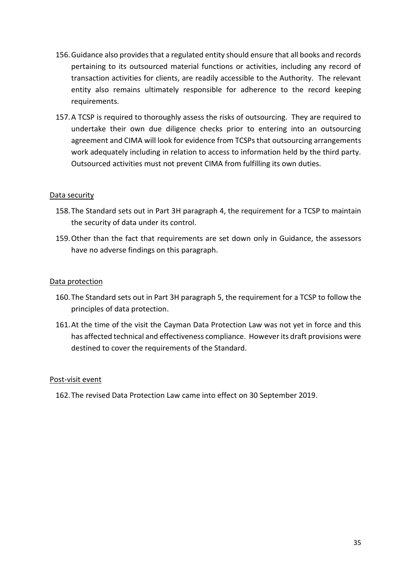- 156.Guidance also provides that a regulated entity should ensure that all books and records pertaining to its outsourced material functions or activities, including any record of transaction activities for clients, are readily accessible to the Authority. The relevant entity also remains ultimately responsible for adherence to the record keeping requirements.
- 157.A TCSP is required to thoroughly assess the risks of outsourcing. They are required to undertake their own due diligence checks prior to entering into an outsourcing agreement and CIMA will look for evidence from TCSPs that outsourcing arrangements work adequately including in relation to access to information held by the third party. Outsourced activities must not prevent CIMA from fulfilling its own duties.

#### Data security

- 158.The Standard sets out in Part 3H paragraph 4, the requirement for a TCSP to maintain the security of data under its control.
- 159.Other than the fact that requirements are set down only in Guidance, the assessors have no adverse findings on this paragraph.

#### Data protection

- 160.The Standard sets out in Part 3H paragraph 5, the requirement for a TCSP to follow the principles of data protection.
- 161.At the time of the visit the Cayman Data Protection Law was not yet in force and this has affected technical and effectiveness compliance. However its draft provisions were destined to cover the requirements of the Standard.

#### Post-visit event

162.The revised Data Protection Law came into effect on 30 September 2019.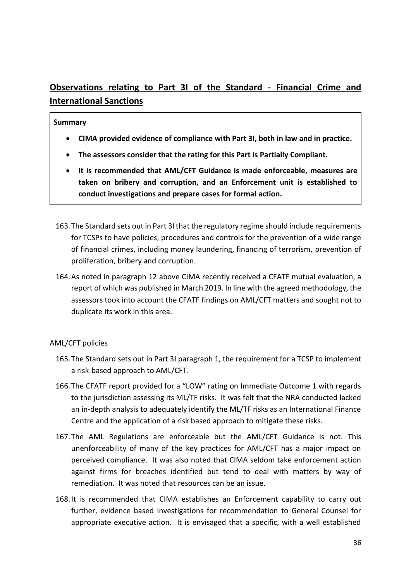# **Observations relating to Part 3I of the Standard - Financial Crime and International Sanctions**

#### **Summary**

- **CIMA provided evidence of compliance with Part 3I, both in law and in practice.**
- **The assessors consider that the rating for this Part is Partially Compliant.**
- **It is recommended that AML/CFT Guidance is made enforceable, measures are taken on bribery and corruption, and an Enforcement unit is established to conduct investigations and prepare cases for formal action.**
- 163.The Standard sets out in Part 3I that the regulatory regime should include requirements for TCSPs to have policies, procedures and controls for the prevention of a wide range of financial crimes, including money laundering, financing of terrorism, prevention of proliferation, bribery and corruption.
- 164.As noted in paragraph 12 above CIMA recently received a CFATF mutual evaluation, a report of which was published in March 2019. In line with the agreed methodology, the assessors took into account the CFATF findings on AML/CFT matters and sought not to duplicate its work in this area.

#### AML/CFT policies

- 165.The Standard sets out in Part 3I paragraph 1, the requirement for a TCSP to implement a risk-based approach to AML/CFT.
- 166.The CFATF report provided for a "LOW" rating on Immediate Outcome 1 with regards to the jurisdiction assessing its ML/TF risks. It was felt that the NRA conducted lacked an in-depth analysis to adequately identify the ML/TF risks as an International Finance Centre and the application of a risk based approach to mitigate these risks.
- 167.The AML Regulations are enforceable but the AML/CFT Guidance is not. This unenforceability of many of the key practices for AML/CFT has a major impact on perceived compliance. It was also noted that CIMA seldom take enforcement action against firms for breaches identified but tend to deal with matters by way of remediation. It was noted that resources can be an issue.
- 168.It is recommended that CIMA establishes an Enforcement capability to carry out further, evidence based investigations for recommendation to General Counsel for appropriate executive action. It is envisaged that a specific, with a well established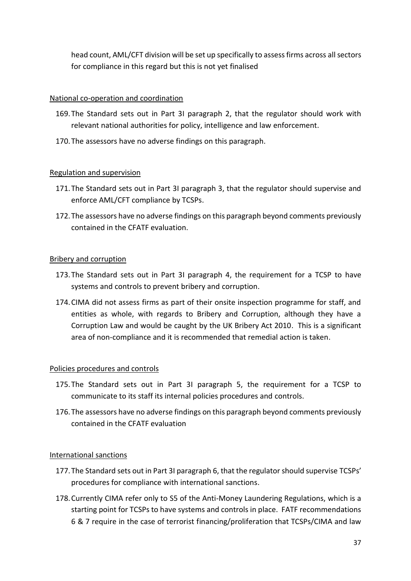head count, AML/CFT division will be set up specifically to assess firms across all sectors for compliance in this regard but this is not yet finalised

#### National co-operation and coordination

- 169.The Standard sets out in Part 3I paragraph 2, that the regulator should work with relevant national authorities for policy, intelligence and law enforcement.
- 170.The assessors have no adverse findings on this paragraph.

#### Regulation and supervision

- 171.The Standard sets out in Part 3I paragraph 3, that the regulator should supervise and enforce AML/CFT compliance by TCSPs.
- 172.The assessors have no adverse findings on this paragraph beyond comments previously contained in the CFATF evaluation.

#### Bribery and corruption

- 173.The Standard sets out in Part 3I paragraph 4, the requirement for a TCSP to have systems and controls to prevent bribery and corruption.
- 174.CIMA did not assess firms as part of their onsite inspection programme for staff, and entities as whole, with regards to Bribery and Corruption, although they have a Corruption Law and would be caught by the UK Bribery Act 2010. This is a significant area of non-compliance and it is recommended that remedial action is taken.

#### Policies procedures and controls

- 175.The Standard sets out in Part 3I paragraph 5, the requirement for a TCSP to communicate to its staff its internal policies procedures and controls.
- 176.The assessors have no adverse findings on this paragraph beyond comments previously contained in the CFATF evaluation

#### International sanctions

- 177.The Standard sets out in Part 3I paragraph 6, that the regulator should supervise TCSPs' procedures for compliance with international sanctions.
- 178.Currently CIMA refer only to S5 of the Anti-Money Laundering Regulations, which is a starting point for TCSPs to have systems and controls in place. FATF recommendations 6 & 7 require in the case of terrorist financing/proliferation that TCSPs/CIMA and law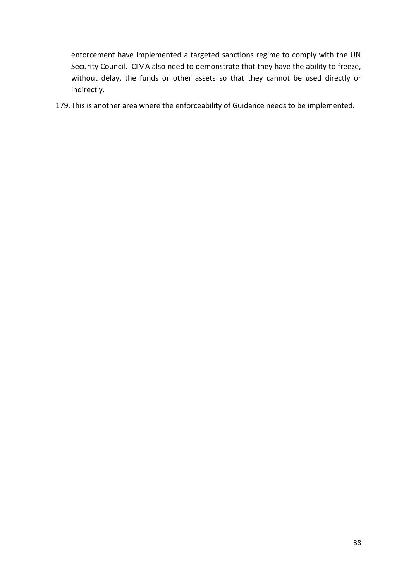enforcement have implemented a targeted sanctions regime to comply with the UN Security Council. CIMA also need to demonstrate that they have the ability to freeze, without delay, the funds or other assets so that they cannot be used directly or indirectly.

179.This is another area where the enforceability of Guidance needs to be implemented.